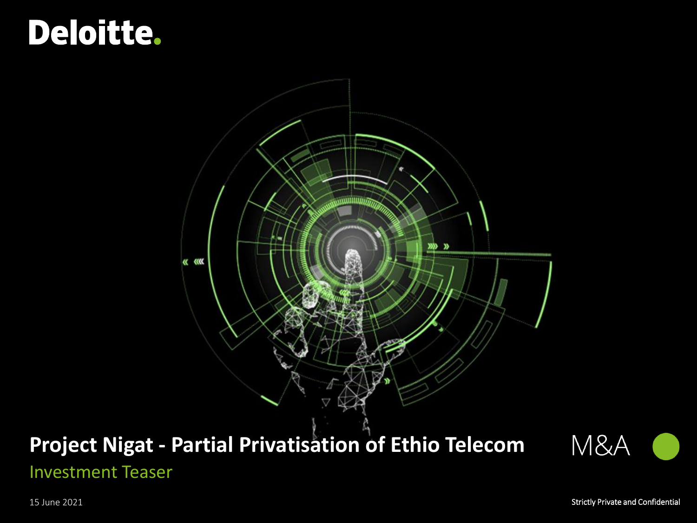# <span id="page-0-0"></span>Deloitte.



## **Project Nigat - Partial Privatisation of Ethio Telecom** Investment Teaser

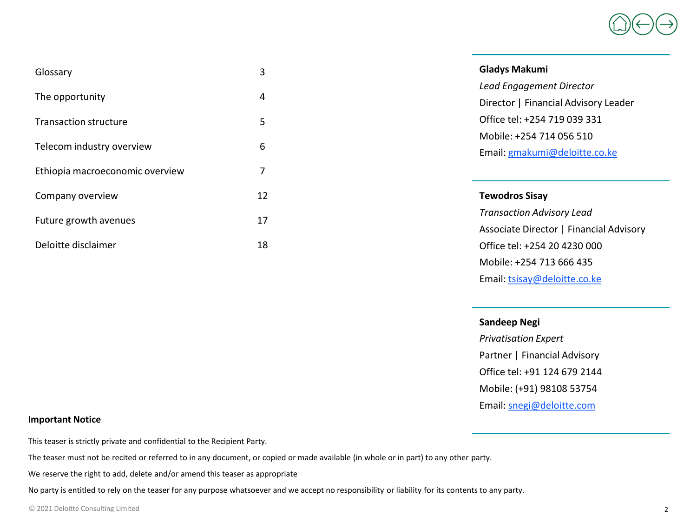

| Glossary                        | 3  | <b>Gladys Makumi</b>                    |
|---------------------------------|----|-----------------------------------------|
|                                 |    | Lead Engagement Director                |
| The opportunity                 | 4  | Director   Financial Advisory Leader    |
| <b>Transaction structure</b>    | 5  | Office tel: +254 719 039 331            |
|                                 |    | Mobile: +254 714 056 510                |
| Telecom industry overview       | 6  | Email: gmakumi@deloitte.co.ke           |
| Ethiopia macroeconomic overview | 7  |                                         |
| Company overview                | 12 | <b>Tewodros Sisay</b>                   |
| Future growth avenues           | 17 | <b>Transaction Advisory Lead</b>        |
|                                 |    | Associate Director   Financial Advisory |
| Deloitte disclaimer             | 18 | Office tel: +254 20 4230 000            |
|                                 |    | Mobile: +254 713 666 435                |

Email: [tsisay@deloitte.co.ke](mailto:tsisay@deloitte.co.ke)

#### **Sandeep Negi**

*Privatisation Expert* Partner | Financial Advisory Office tel: +91 124 679 2144 Mobile: (+91) 98108 53754 Email: [snegi@deloitte.com](mailto:snegi@deloitte.com)

#### **Important Notice**

This teaser is strictly private and confidential to the Recipient Party.

The teaser must not be recited or referred to in any document, or copied or made available (in whole or in part) to any other party.

We reserve the right to add, delete and/or amend this teaser as appropriate

No party is entitled to rely on the teaser for any purpose whatsoever and we accept no responsibility or liability for its contents to any party.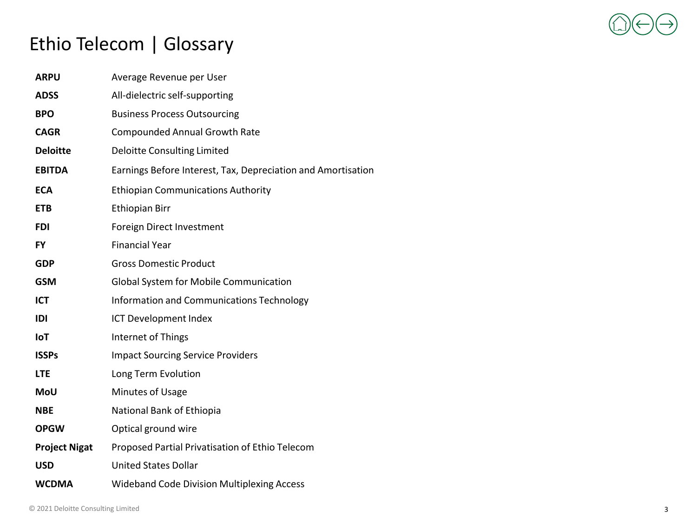

## <span id="page-2-0"></span>[Ethio Tel](#page-2-0)ec[om | Glo](#page-3-0)[ssary](#page-4-0)

| <b>ARPU</b>          | Average Revenue per User                                     |
|----------------------|--------------------------------------------------------------|
| <b>ADSS</b>          | All-dielectric self-supporting                               |
| <b>BPO</b>           | <b>Business Process Outsourcing</b>                          |
| <b>CAGR</b>          | <b>Compounded Annual Growth Rate</b>                         |
| <b>Deloitte</b>      | <b>Deloitte Consulting Limited</b>                           |
| <b>EBITDA</b>        | Earnings Before Interest, Tax, Depreciation and Amortisation |
| <b>ECA</b>           | <b>Ethiopian Communications Authority</b>                    |
| <b>ETB</b>           | <b>Ethiopian Birr</b>                                        |
| <b>FDI</b>           | Foreign Direct Investment                                    |
| <b>FY</b>            | <b>Financial Year</b>                                        |
| <b>GDP</b>           | <b>Gross Domestic Product</b>                                |
| <b>GSM</b>           | Global System for Mobile Communication                       |
| <b>ICT</b>           | Information and Communications Technology                    |
| IDI                  | ICT Development Index                                        |
| IoT                  | Internet of Things                                           |
| <b>ISSPs</b>         | <b>Impact Sourcing Service Providers</b>                     |
| <b>LTE</b>           | Long Term Evolution                                          |
| <b>MoU</b>           | Minutes of Usage                                             |
| <b>NBE</b>           | National Bank of Ethiopia                                    |
| <b>OPGW</b>          | Optical ground wire                                          |
| <b>Project Nigat</b> | Proposed Partial Privatisation of Ethio Telecom              |
| <b>USD</b>           | <b>United States Dollar</b>                                  |
| <b>WCDMA</b>         | <b>Wideband Code Division Multiplexing Access</b>            |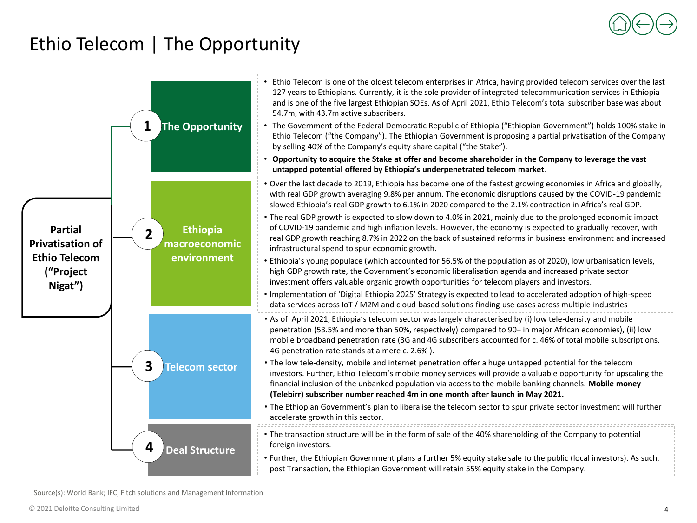### <span id="page-3-0"></span>Ethio Telecom | The Opportunity



Source(s): World Bank; IFC, Fitch solutions and Management Information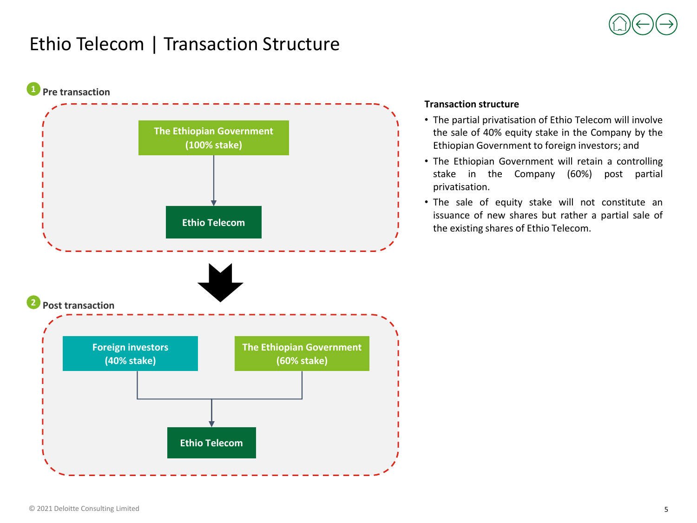

### <span id="page-4-0"></span>Ethio Telecom | Transaction Structure



### **Transaction structure**

- The partial privatisation of Ethio Telecom will involve the sale of 40% equity stake in the Company by the Ethiopian Government to foreign investors; and
- The Ethiopian Government will retain a controlling stake in the Company (60%) post partial privatisation.
- The sale of equity stake will not constitute an issuance of new shares but rather a partial sale of the existing shares of Ethio Telecom.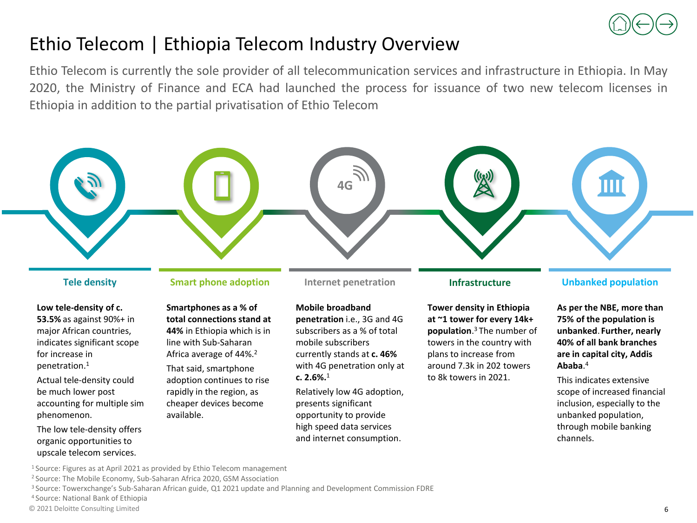

### Ethio Telecom | Ethiopia Telecom Industry Overview

Ethio Telecom is currently the sole provider of all telecommunication services and infrastructure in Ethiopia. In May 2020, the Ministry of Finance and ECA had launched the process for issuance of two new telecom licenses in Ethiopia in addition to the partial privatisation of Ethio Telecom



**Low tele-density of c. 53.5%** as against 90%+ in major African countries, indicates significant scope

for increase in penetration.<sup>1</sup>

Actual tele-density could be much lower post accounting for multiple sim phenomenon.

The low tele-density offers organic opportunities to upscale telecom services.

**Smartphones as a % of total connections stand at 44%** in Ethiopia which is in line with Sub-Saharan Africa average of 44%.<sup>2</sup> That said, smartphone adoption continues to rise rapidly in the region, as cheaper devices become

**Mobile broadband penetration** i.e., 3G and 4G subscribers as a % of total mobile subscribers currently stands at **c. 46%**  with 4G penetration only at **c. 2.6%.**<sup>1</sup>

Relatively low 4G adoption, presents significant opportunity to provide high speed data services and internet consumption.

**Tower density in Ethiopia at ~1 tower for every 14k+ population**. <sup>3</sup>The number of towers in the country with plans to increase from around 7.3k in 202 towers to 8k towers in 2021.

#### **Tele density Smart phone adoption Internet penetration Infrastructure Unbanked population**

**As per the NBE, more than 75% of the population is unbanked**. **Further, nearly 40% of all bank branches are in capital city, Addis Ababa**. 4

This indicates extensive scope of increased financial inclusion, especially to the unbanked population, through mobile banking channels.

<sup>1</sup>Source: Figures as at April 2021 as provided by Ethio Telecom management

available.

<sup>2</sup> Source: The Mobile Economy, Sub-Saharan Africa 2020, GSM Association

<sup>3</sup>Source: Towerxchange's Sub-Saharan African guide, Q1 2021 update and Planning and Development Commission FDRE

<sup>4</sup>Source: National Bank of Ethiopia

© 2021 Deloitte Consulting Limited 6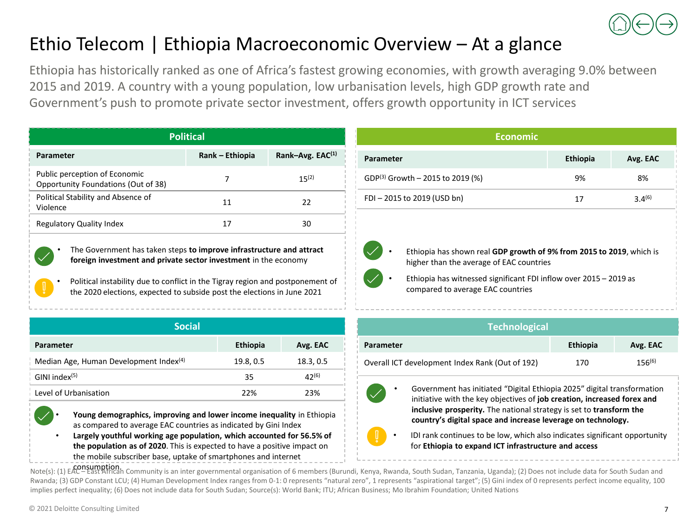

### Ethio Telecom | Ethiopia Macroeconomic Overview – At a glance

Ethiopia has historically ranked as one of Africa's fastest growing economies, with growth averaging 9.0% between 2015 and 2019. A country with a young population, low urbanisation levels, high GDP growth rate and Government's push to promote private sector investment, offers growth opportunity in ICT services

| <b>Political</b>                                                     |                 |                    |  |
|----------------------------------------------------------------------|-----------------|--------------------|--|
| Parameter                                                            | Rank – Ethiopia | Rank-Avg. $EAC(1)$ |  |
| Public perception of Economic<br>Opportunity Foundations (Out of 38) |                 | $15^{(2)}$         |  |
| Political Stability and Absence of<br>Violence                       | 11              | 22                 |  |
| <b>Regulatory Quality Index</b>                                      | 17              | 30                 |  |

• The Government has taken steps **to improve infrastructure and attract foreign investment and private sector investment** in the economy

Political instability due to conflict in the Tigray region and postponement of the 2020 elections, expected to subside post the elections in June 2021

| <b>Social</b>                                      |                 |           |  |  |
|----------------------------------------------------|-----------------|-----------|--|--|
| Parameter                                          | <b>Ethiopia</b> | Avg. EAC  |  |  |
| Median Age, Human Development Index <sup>(4)</sup> | 19.8, 0.5       | 18.3, 0.5 |  |  |
| $GINI$ index $(5)$                                 | 35              | 42(6)     |  |  |
| Level of Urbanisation                              | 22%             | 23%       |  |  |



• **Young demographics, improving and lower income inequality** in Ethiopia as compared to average EAC countries as indicated by Gini Index

• **Largely youthful working age population, which accounted for 56.5% of the population as of 2020**. This is expected to have a positive impact on the mobile subscriber base, uptake of smartphones and internet

| <b>Economic</b>                                                                                                                                                                                                            |                 |             |  |  |
|----------------------------------------------------------------------------------------------------------------------------------------------------------------------------------------------------------------------------|-----------------|-------------|--|--|
| Parameter                                                                                                                                                                                                                  | <b>Ethiopia</b> | Avg. EAC    |  |  |
| GDP(3) Growth - 2015 to 2019 (%)                                                                                                                                                                                           | 9%              | 8%          |  |  |
| FDI-2015 to 2019 (USD bn)                                                                                                                                                                                                  | 17              | $3.4^{(6)}$ |  |  |
| Ethiopia has shown real GDP growth of 9% from 2015 to 2019, which is<br>higher than the average of EAC countries<br>Ethiopia has witnessed significant FDI inflow over 2015 - 2019 as<br>compared to average EAC countries |                 |             |  |  |

| <b>Technological</b>                            |                 |             |  |  |
|-------------------------------------------------|-----------------|-------------|--|--|
| Parameter                                       | <b>Ethiopia</b> | Avg. EAC    |  |  |
| Overall ICT development Index Rank (Out of 192) | 170             | $156^{(6)}$ |  |  |

• Government has initiated "Digital Ethiopia 2025" digital transformation initiative with the key objectives of **job creation, increased forex and inclusive prosperity.** The national strategy is set to **transform the country's digital space and increase leverage on technology.**

• IDI rank continues to be low, which also indicates significant opportunity for **Ethiopia to expand ICT infrastructure and access**

Note(s): (1) EAC – East African Community is an inter governmental organisation of 6 members (Burundi, Kenya, Rwanda, South Sudan, Tanzania, Uganda); (2) Does not include data for South Sudan and Rwanda; (3) GDP Constant LCU; (4) Human Development Index ranges from 0-1: 0 represents "natural zero", 1 represents "aspirational target"; (5) Gini index of 0 represents perfect income equality, 100 implies perfect inequality; (6) Does not include data for South Sudan; Source(s): World Bank; ITU; African Business; Mo Ibrahim Foundation; United Nations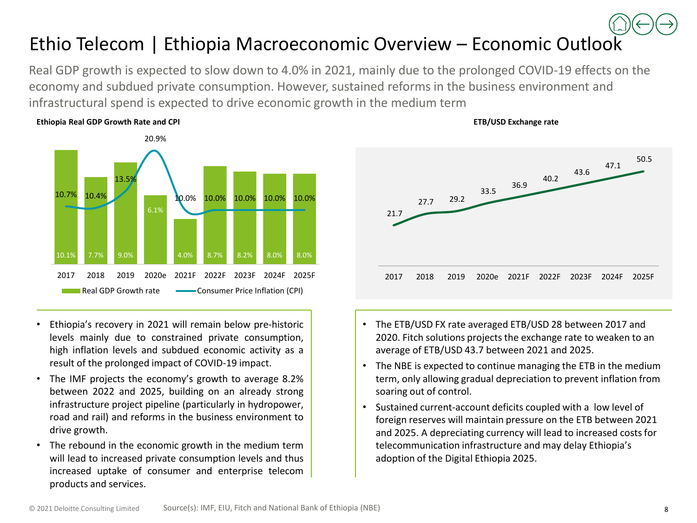## Ethio Telecom | Ethiopia Macroeconomic Overview – Economic Outlo[ok](#page-0-0)

Real GDP growth is expected to slow down to 4.0% in 2021, mainly due to the prolonged COVID-19 effects on the economy and subdued private consumption. However, sustained reforms in the business environment and infrastructural spend is expected to drive economic growth in the medium term



#### **Ethiopia Real GDP Growth Rate and CPI**

- Ethiopia's recovery in 2021 will remain below pre-historic levels mainly due to constrained private consumption, high inflation levels and subdued economic activity as a result of the prolonged impact of COVID-19 impact.
- The IMF projects the economy's growth to average 8.2% between 2022 and 2025, building on an already strong infrastructure project pipeline (particularly in hydropower, road and rail) and reforms in the business environment to drive growth.
- The rebound in the economic growth in the medium term will lead to increased private consumption levels and thus increased uptake of consumer and enterprise telecom products and services.



**ETB/USD Exchange rate**

- The ETB/USD FX rate averaged ETB/USD 28 between 2017 and 2020. Fitch solutions projects the exchange rate to weaken to an average of ETB/USD 43.7 between 2021 and 2025.
- The NBE is expected to continue managing the ETB in the medium term, only allowing gradual depreciation to prevent inflation from soaring out of control.
- Sustained current-account deficits coupled with a low level of foreign reserves will maintain pressure on the ETB between 2021 and 2025. A depreciating currency will lead to increased costs for telecommunication infrastructure and may delay Ethiopia's adoption of the Digital Ethiopia 2025.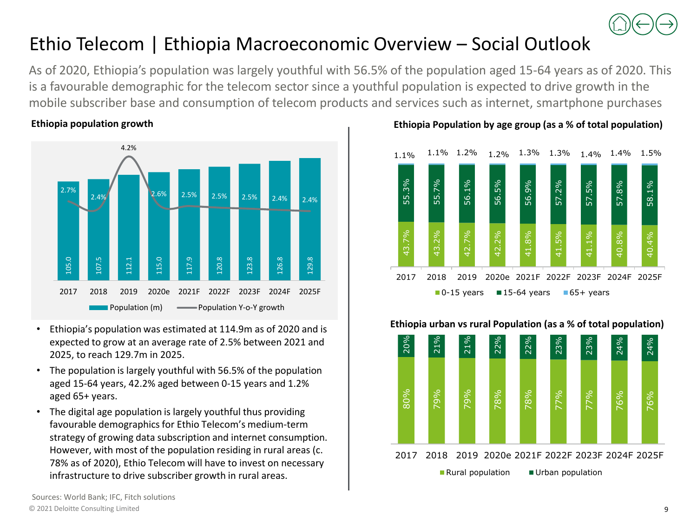

### <span id="page-8-0"></span>Ethio Telecom | Ethiopia Macroeconomic Overview – Social Outlook

As of 2020, Ethiopia's population was largely youthful with 56.5% of the population aged 15-64 years as of 2020. This is a favourable demographic for the telecom sector since a youthful population is expected to drive growth in the mobile subscriber base and consumption of telecom products and services such as internet, smartphone purchases

### **Ethiopia population growth**



- Ethiopia's population was estimated at 114.9m as of 2020 and is expected to grow at an average rate of 2.5% between 2021 and 2025, to reach 129.7m in 2025.
- The population is largely youthful with 56.5% of the population aged 15-64 years, 42.2% aged between 0-15 years and 1.2% aged 65+ years.
- The digital age population is largely youthful thus providing favourable demographics for Ethio Telecom's medium-term strategy of growing data subscription and internet consumption. However, with most of the population residing in rural areas (c. 78% as of 2020), Ethio Telecom will have to invest on necessary infrastructure to drive subscriber growth in rural areas.

### **Ethiopia Population by age group (as a % of total population)**



#### 80% 79% 79% 78% 78% 77% 77% 76% 76% 20% 21% 21% 22% 22% 23% 23% 24% 24% 2017 2018 2019 2020e 2021F 2022F 2023F 2024F 2025F Rural population  $\Box$  Urban population

### **Ethiopia urban vs rural Population (as a % of total population)**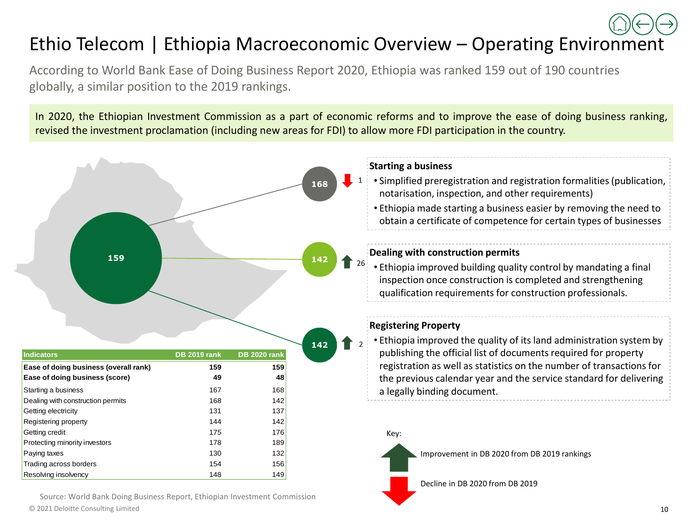## <span id="page-9-0"></span>Ethio Telecom | Ethiopia Macroeconomic Overview – Operating Envir[onm](#page-0-0)[en](#page-8-0)[t](#page-10-0)

According to World Bank Ease of Doing Business Report 2020, Ethiopia was ranked 159 out of 190 countries globally, a similar position to the 2019 rankings.

In 2020, the Ethiopian Investment Commission as a part of economic reforms and to improve the ease of doing business ranking, revised the investment proclamation (including new areas for FDI) to allow more FDI participation in the country.



© 2021 Deloitte Consulting Limited 10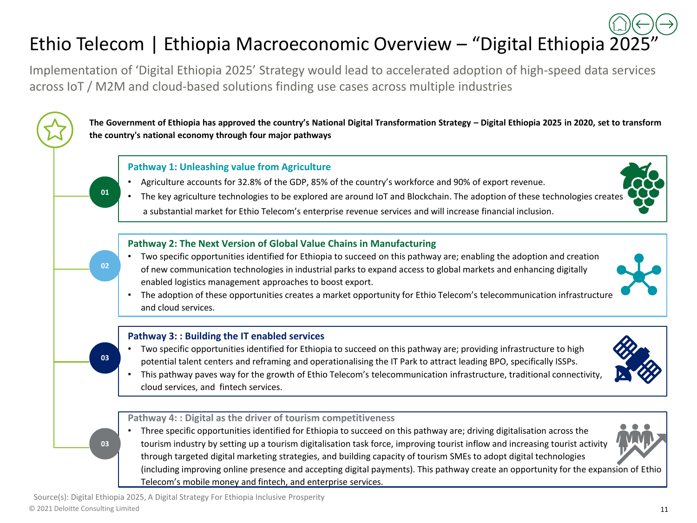## <span id="page-10-0"></span>Ethio Telecom | Ethiopia Macroeconomic Overview – "Digital Ethiopia [20](#page-0-0)[25](#page-9-0)["](#page-11-0)

Implementation of 'Digital Ethiopia 2025' Strategy would lead to accelerated adoption of high-speed data services across IoT / M2M and cloud-based solutions finding use cases across multiple industries

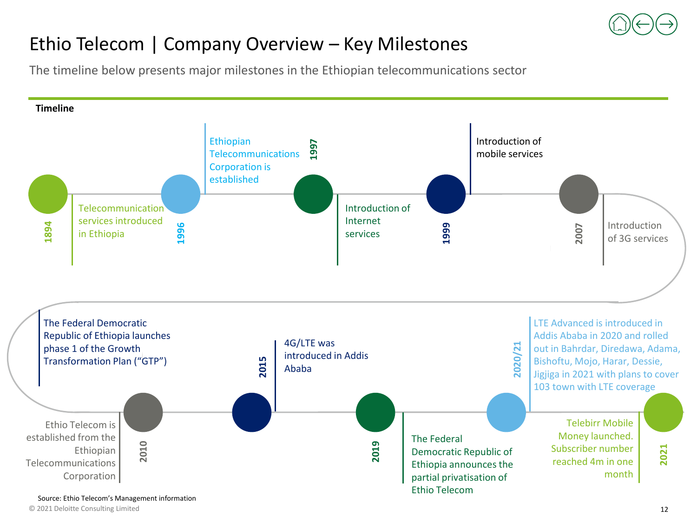

### <span id="page-11-0"></span>Ethio Telecom | Company Overview – Key Milestones

The timeline below presents major milestones in the Ethiopian telecommunications sector

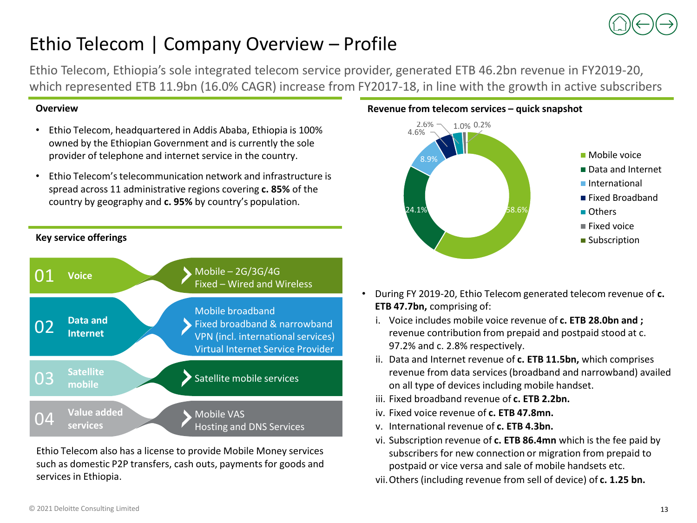

### Ethio Telecom | Company Overview – Profile

Ethio Telecom, Ethiopia's sole integrated telecom service provider, generated ETB 46.2bn revenue in FY2019-20, which represented ETB 11.9bn (16.0% CAGR) increase from FY2017-18, in line with the growth in active subscribers

### **Overview**

- Ethio Telecom, headquartered in Addis Ababa, Ethiopia is 100% owned by the Ethiopian Government and is currently the sole provider of telephone and internet service in the country.
- Ethio Telecom's telecommunication network and infrastructure is spread across 11 administrative regions covering **c. 85%** of the country by geography and **c. 95%** by country's population.

### **Key service offerings**



Ethio Telecom also has a license to provide Mobile Money services such as domestic P2P transfers, cash outs, payments for goods and services in Ethiopia.

#### **Revenue from telecom services – quick snapshot**



- During FY 2019-20, Ethio Telecom generated telecom revenue of **c. ETB 47.7bn,** comprising of:
	- i. Voice includes mobile voice revenue of **c. ETB 28.0bn and ;**  revenue contribution from prepaid and postpaid stood at c. 97.2% and c. 2.8% respectively.
	- ii. Data and Internet revenue of **c. ETB 11.5bn,** which comprises revenue from data services (broadband and narrowband) availed on all type of devices including mobile handset.
	- iii. Fixed broadband revenue of **c. ETB 2.2bn.**
	- iv. Fixed voice revenue of **c. ETB 47.8mn.**
	- v. International revenue of **c. ETB 4.3bn.**
	- vi. Subscription revenue of **c. ETB 86.4mn** which is the fee paid by subscribers for new connection or migration from prepaid to postpaid or vice versa and sale of mobile handsets etc.

vii.Others (including revenue from sell of device) of **c. 1.25 bn.**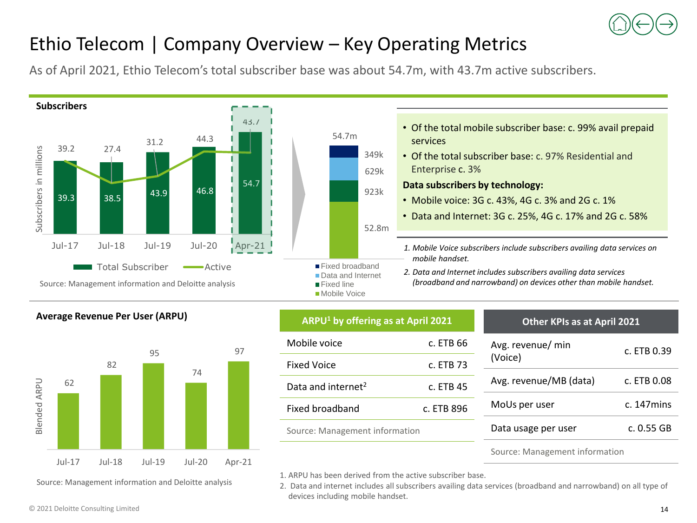

### Ethio Telecom | Company Overview – Key Operating Metrics

As of April 2021, Ethio Telecom's total subscriber base was about 54.7m, with 43.7m active subscribers.



### **Average Revenue Per User (ARPU) ARPU<sup>1</sup> by offering as at April 2021**



Source: Management information and Deloitte analysis

| Mobile voice                   | c. ETB 66  |  |
|--------------------------------|------------|--|
| <b>Fixed Voice</b>             | c. ETB 73  |  |
| Data and internet <sup>2</sup> | c. ETB 45  |  |
| Fixed broadband                | c. ETB 896 |  |
| Source: Management information |            |  |
|                                |            |  |

| Other Kr is as at April 2021 |                  |
|------------------------------|------------------|
| Avg. revenue/ min<br>(Voice) | c. ETB 0.39      |
| Avg. revenue/MB (data)       | c. ETB 0.08      |
| MoUs per user                | $c.$ 147 $m$ ins |
| Data usage per user          | c. 0.55 GB       |
|                              |                  |

**Other KPIs as at April 2021**

#### Source: Management information

1. ARPU has been derived from the active subscriber base.

2. Data and internet includes all subscribers availing data services (broadband and narrowband) on all type of devices including mobile handset.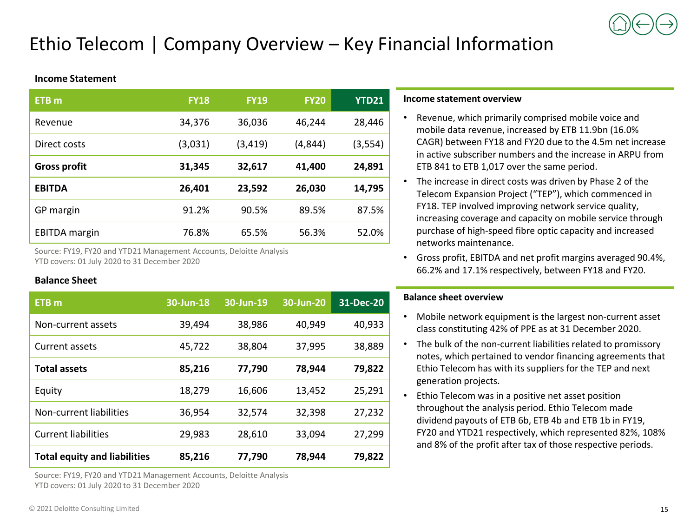### Ethio Telecom | Company Overview – Key Financial Information

#### **Income Statement**

| ETB <sub>m</sub>     | <b>FY18</b> | <b>FY19</b> | <b>FY20</b> | <b>YTD21</b> |
|----------------------|-------------|-------------|-------------|--------------|
| Revenue              | 34,376      | 36,036      | 46,244      | 28,446       |
| Direct costs         | (3,031)     | (3,419)     | (4,844)     | (3,554)      |
| <b>Gross profit</b>  | 31,345      | 32,617      | 41,400      | 24,891       |
| <b>EBITDA</b>        | 26,401      | 23,592      | 26,030      | 14,795       |
| GP margin            | 91.2%       | 90.5%       | 89.5%       | 87.5%        |
| <b>EBITDA</b> margin | 76.8%       | 65.5%       | 56.3%       | 52.0%        |

Source: FY19, FY20 and YTD21 Management Accounts, Deloitte Analysis YTD covers: 01 July 2020 to 31 December 2020

#### **Balance Sheet**

| ETB <sub>m</sub>                    | 30-Jun-18 | $30$ -Jun- $\overline{19}$ | 30-Jun-20 | 31-Dec-20 |
|-------------------------------------|-----------|----------------------------|-----------|-----------|
| Non-current assets                  | 39.494    | 38,986                     | 40.949    | 40,933    |
| Current assets                      | 45,722    | 38,804                     | 37,995    | 38,889    |
| <b>Total assets</b>                 | 85,216    | 77,790                     | 78.944    | 79.822    |
| Equity                              | 18.279    | 16.606                     | 13,452    | 25,291    |
| Non-current liabilities             | 36,954    | 32.574                     | 32,398    | 27.232    |
| <b>Current liabilities</b>          | 29,983    | 28,610                     | 33,094    | 27,299    |
| <b>Total equity and liabilities</b> | 85,216    | 77,790                     | 78.944    | 79.822    |

Source: FY19, FY20 and YTD21 Management Accounts, Deloitte Analysis YTD covers: 01 July 2020 to 31 December 2020

#### **Income statement overview**

- Revenue, which primarily comprised mobile voice and mobile data revenue, increased by ETB 11.9bn (16.0% CAGR) between FY18 and FY20 due to the 4.5m net increase in active subscriber numbers and the increase in ARPU from ETB 841 to ETB 1,017 over the same period.
- The increase in direct costs was driven by Phase 2 of the Telecom Expansion Project ("TEP"), which commenced in FY18. TEP involved improving network service quality, increasing coverage and capacity on mobile service through purchase of high-speed fibre optic capacity and increased networks maintenance.
- Gross profit, EBITDA and net profit margins averaged 90.4%, 66.2% and 17.1% respectively, between FY18 and FY20.

#### **Balance sheet overview**

- Mobile network equipment is the largest non-current asset class constituting 42% of PPE as at 31 December 2020.
- The bulk of the non-current liabilities related to promissory notes, which pertained to vendor financing agreements that Ethio Telecom has with its suppliers for the TEP and next generation projects.
- Ethio Telecom was in a positive net asset position throughout the analysis period. Ethio Telecom made dividend payouts of ETB 6b, ETB 4b and ETB 1b in FY19, FY20 and YTD21 respectively, which represented 82%, 108% and 8% of the profit after tax of those respective periods.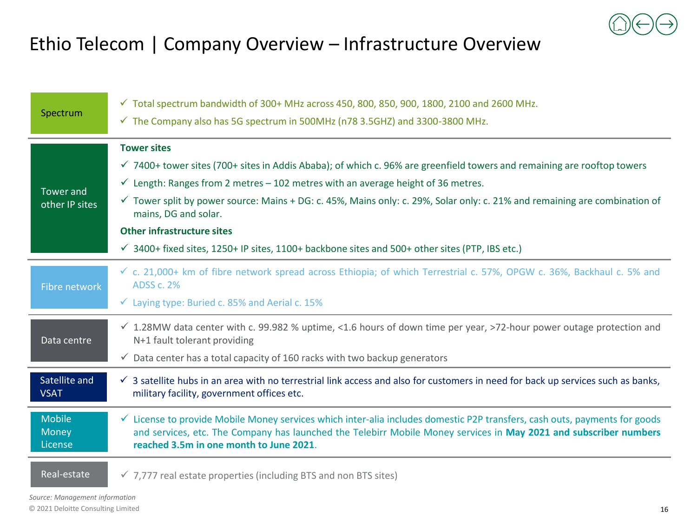

### Ethio Telecom | Company Overview – Infrastructure Overview

| Spectrum                          | $\checkmark$ Total spectrum bandwidth of 300+ MHz across 450, 800, 850, 900, 1800, 2100 and 2600 MHz.<br>$\checkmark$ The Company also has 5G spectrum in 500MHz (n78 3.5GHZ) and 3300-3800 MHz.                                                                                                      |
|-----------------------------------|-------------------------------------------------------------------------------------------------------------------------------------------------------------------------------------------------------------------------------------------------------------------------------------------------------|
|                                   | <b>Tower sites</b>                                                                                                                                                                                                                                                                                    |
|                                   | $\checkmark$ 7400+ tower sites (700+ sites in Addis Ababa); of which c. 96% are greenfield towers and remaining are rooftop towers                                                                                                                                                                    |
| <b>Tower and</b>                  | $\checkmark$ Length: Ranges from 2 metres - 102 metres with an average height of 36 metres.                                                                                                                                                                                                           |
| other IP sites                    | $\checkmark$ Tower split by power source: Mains + DG: c. 45%, Mains only: c. 29%, Solar only: c. 21% and remaining are combination of<br>mains, DG and solar.                                                                                                                                         |
|                                   | <b>Other infrastructure sites</b>                                                                                                                                                                                                                                                                     |
|                                   | $\checkmark$ 3400+ fixed sites, 1250+ IP sites, 1100+ backbone sites and 500+ other sites (PTP, IBS etc.)                                                                                                                                                                                             |
| Fibre network                     | $\checkmark$ c. 21,000+ km of fibre network spread across Ethiopia; of which Terrestrial c. 57%, OPGW c. 36%, Backhaul c. 5% and<br><b>ADSS c. 2%</b>                                                                                                                                                 |
|                                   | $\checkmark$ Laying type: Buried c. 85% and Aerial c. 15%                                                                                                                                                                                                                                             |
| Data centre                       | $\checkmark$ 1.28MW data center with c. 99.982 % uptime, <1.6 hours of down time per year, >72-hour power outage protection and<br>N+1 fault tolerant providing                                                                                                                                       |
|                                   | $\checkmark$ Data center has a total capacity of 160 racks with two backup generators                                                                                                                                                                                                                 |
| Satellite and<br><b>VSAT</b>      | $\checkmark$ 3 satellite hubs in an area with no terrestrial link access and also for customers in need for back up services such as banks,<br>military facility, government offices etc.                                                                                                             |
| <b>Mobile</b><br>Money<br>License | $\checkmark$ License to provide Mobile Money services which inter-alia includes domestic P2P transfers, cash outs, payments for goods<br>and services, etc. The Company has launched the Telebirr Mobile Money services in May 2021 and subscriber numbers<br>reached 3.5m in one month to June 2021. |
| Real-estate                       | $\checkmark$ 7,777 real estate properties (including BTS and non BTS sites)                                                                                                                                                                                                                           |

*Source: Management information*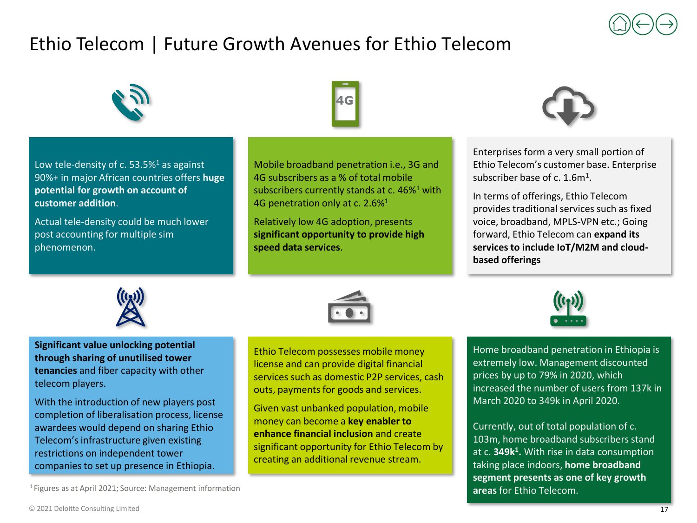## Ethio Telecom | Future Growth Avenues for Ethio Telecom



Low tele-density of c.  $53.5\%$ <sup>1</sup> as against 90%+ in major African countries offers **huge potential for growth on account of customer addition**.

Actual tele-density could be much lower post accounting for multiple sim phenomenon.



Mobile broadband penetration i.e., 3G and 4G subscribers as a % of total mobile subscribers currently stands at c. 46%<sup>1</sup> with 4G penetration only at c. 2.6%<sup>1</sup>

Relatively low 4G adoption, presents **significant opportunity to provide high speed data services**.



Enterprises form a very small portion of Ethio Telecom's customer base. Enterprise subscriber base of c.  $1.6m<sup>1</sup>$ .

In terms of offerings, Ethio Telecom provides traditional services such as fixed voice, broadband, MPLS-VPN etc.; Going forward, Ethio Telecom can **expand its services to include IoT/M2M and cloudbased offerings**



**Significant value unlocking potential through sharing of unutilised tower tenancies** and fiber capacity with other telecom players.

With the introduction of new players post completion of liberalisation process, license awardees would depend on sharing Ethio Telecom's infrastructure given existing restrictions on independent tower companies to set up presence in Ethiopia.



Ethio Telecom possesses mobile money license and can provide digital financial services such as domestic P2P services, cash outs, payments for goods and services.

Given vast unbanked population, mobile money can become a **key enabler to enhance financial inclusion** and create significant opportunity for Ethio Telecom by creating an additional revenue stream.



Home broadband penetration in Ethiopia is extremely low. Management discounted prices by up to 79% in 2020, which increased the number of users from 137k in March 2020 to 349k in April 2020.

Currently, out of total population of c. 103m, home broadband subscribers stand at c. **349k<sup>1</sup> .** With rise in data consumption taking place indoors, **home broadband segment presents as one of key growth areas** for Ethio Telecom.

<sup>1</sup>Figures as at April 2021; Source: Management information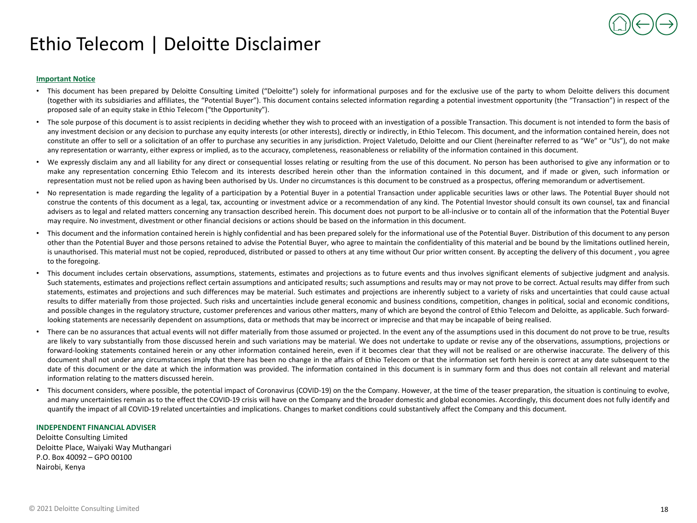### Ethio Telecom | Deloitte Disclaimer

#### **Important Notice**

- This document has been prepared by Deloitte Consulting Limited ("Deloitte") solely for informational purposes and for the exclusive use of the party to whom Deloitte delivers this document (together with its subsidiaries and affiliates, the "Potential Buyer"). This document contains selected information regarding a potential investment opportunity (the "Transaction") in respect of the proposed sale of an equity stake in Ethio Telecom ("the Opportunity").
- The sole purpose of this document is to assist recipients in deciding whether they wish to proceed with an investigation of a possible Transaction. This document is not intended to form the basis of any investment decision or any decision to purchase any equity interests (or other interests), directly or indirectly, in Ethio Telecom. This document, and the information contained herein, does not constitute an offer to sell or a solicitation of an offer to purchase any securities in any jurisdiction. Project Valetudo, Deloitte and our Client (hereinafter referred to as "We" or "Us"), do not make any representation or warranty, either express or implied, as to the accuracy, completeness, reasonableness or reliability of the information contained in this document.
- We expressly disclaim any and all liability for any direct or consequential losses relating or resulting from the use of this document. No person has been authorised to give any information or to make any representation concerning Ethio Telecom and its interests described herein other than the information contained in this document, and if made or given, such information or representation must not be relied upon as having been authorised by Us. Under no circumstances is this document to be construed as a prospectus, offering memorandum or advertisement.
- No representation is made regarding the legality of a participation by a Potential Buyer in a potential Transaction under applicable securities laws or other laws. The Potential Buyer should not construe the contents of this document as a legal, tax, accounting or investment advice or a recommendation of any kind. The Potential Investor should consult its own counsel, tax and financial advisers as to legal and related matters concerning any transaction described herein. This document does not purport to be all-inclusive or to contain all of the information that the Potential Buyer may require. No investment, divestment or other financial decisions or actions should be based on the information in this document.
- This document and the information contained herein is highly confidential and has been prepared solely for the informational use of the Potential Buyer. Distribution of this document to any person other than the Potential Buyer and those persons retained to advise the Potential Buyer, who agree to maintain the confidentiality of this material and be bound by the limitations outlined herein, is unauthorised. This material must not be copied, reproduced, distributed or passed to others at any time without Our prior written consent. By accepting the delivery of this document , you agree to the foregoing.
- This document includes certain observations, assumptions, statements, estimates and projections as to future events and thus involves significant elements of subjective judgment and analysis. Such statements, estimates and projections reflect certain assumptions and anticipated results; such assumptions and results may or may not prove to be correct. Actual results may differ from such statements, estimates and projections and such differences may be material. Such estimates and projections are inherently subject to a variety of risks and uncertainties that could cause actual results to differ materially from those projected. Such risks and uncertainties include general economic and business conditions, competition, changes in political, social and economic conditions, and possible changes in the regulatory structure, customer preferences and various other matters, many of which are beyond the control of Ethio Telecom and Deloitte, as applicable. Such forwardlooking statements are necessarily dependent on assumptions, data or methods that may be incorrect or imprecise and that may be incapable of being realised.
- There can be no assurances that actual events will not differ materially from those assumed or projected. In the event any of the assumptions used in this document do not prove to be true, results are likely to vary substantially from those discussed herein and such variations may be material. We does not undertake to update or revise any of the observations, assumptions, projections or forward-looking statements contained herein or any other information contained herein, even if it becomes clear that they will not be realised or are otherwise inaccurate. The delivery of this document shall not under any circumstances imply that there has been no change in the affairs of Ethio Telecom or that the information set forth herein is correct at any date subsequent to the date of this document or the date at which the information was provided. The information contained in this document is in summary form and thus does not contain all relevant and material information relating to the matters discussed herein.
- This document considers, where possible, the potential impact of Coronavirus (COVID-19) on the the Company. However, at the time of the teaser preparation, the situation is continuing to evolve, and many uncertainties remain as to the effect the COVID-19 crisis will have on the Company and the broader domestic and global economies. Accordingly, this document does not fully identify and quantify the impact of all COVID-19 related uncertainties and implications. Changes to market conditions could substantively affect the Company and this document.

#### **INDEPENDENT FINANCIAL ADVISER**

Deloitte Consulting Limited Deloitte Place, Waiyaki Way Muthangari P.O. Box 40092 – GPO 00100 Nairobi, Kenya